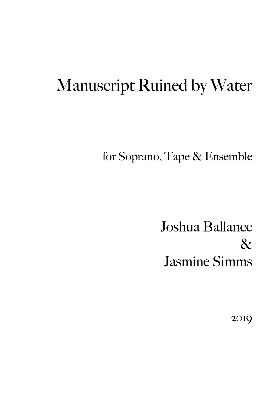# Manuscript Ruined by Water

for Soprano, Tape & Ensemble

Joshua Ballance  $\&$ Jasmine Simms

2019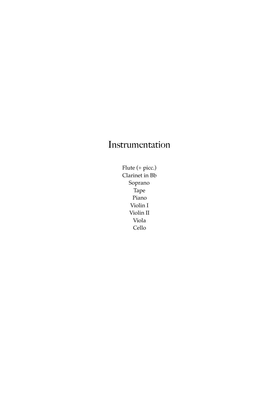# Instrumentation

Flute (+ picc.) Clarinet in Bb Soprano Tape Piano Violin I Violin II Viola Cello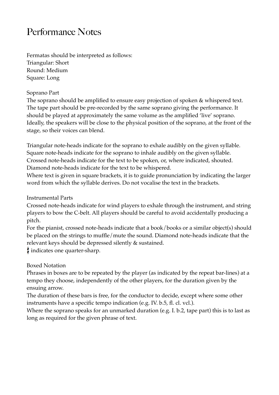# Performance Notes

Fermatas should be interpreted as follows: Triangular: Short Round: Medium Square: Long

#### Soprano Part

The soprano should be amplified to ensure easy projection of spoken & whispered text. The tape part should be pre-recorded by the same soprano giving the performance. It should be played at approximately the same volume as the amplified 'live' soprano. Ideally, the speakers will be close to the physical position of the soprano, at the front of the stage, so their voices can blend.

Triangular note-heads indicate for the soprano to exhale audibly on the given syllable. Square note-heads indicate for the soprano to inhale audibly on the given syllable. Crossed note-heads indicate for the text to be spoken, or, where indicated, shouted. Diamond note-heads indicate for the text to be whispered.

Where text is given in square brackets, it is to guide pronunciation by indicating the larger word from which the syllable derives. Do not vocalise the text in the brackets.

Instrumental Parts

Crossed note-heads indicate for wind players to exhale through the instrument, and string players to bow the C-belt. All players should be careful to avoid accidentally producing a pitch.

For the pianist, crossed note-heads indicate that a book/books or a similar object(s) should be placed on the strings to muffle/mute the sound. Diamond note-heads indicate that the relevant keys should be depressed silently & sustained.

indicates one quarter-sharp.

Boxed Notation

Phrases in boxes are to be repeated by the player (as indicated by the repeat bar-lines) at a tempo they choose, independently of the other players, for the duration given by the ensuing arrow.

The duration of these bars is free, for the conductor to decide, except where some other instruments have a specific tempo indication (e.g. IV. b.5, fl. cl. vcl.).

Where the soprano speaks for an unmarked duration (e.g. I. b.2, tape part) this is to last as long as required for the given phrase of text.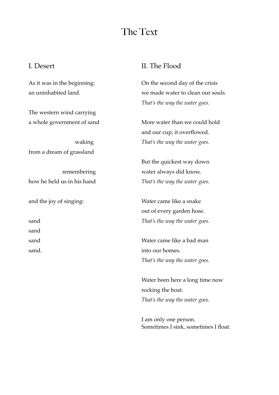## The Text

#### I. Desert

As it was in the beginning: an uninhabited land.

The western wind carrying a whole government of sand

 waking from a dream of grassland

remembering how he held us in his hand

and the joy of singing:

sand sand

sand

sand.

#### II. The Flood

On the second day of the crisis we made water to clean our souls. *That's the way the water goes.* 

More water than we could hold and our cup, it overflowed. *That's the way the water goes.* 

But the quickest way down water always did know. *That's the way the water goes.* 

Water came like a snake out of every garden hose. *That's the way the water goes.* 

Water came like a bad man into our homes. *That's the way the water goes.* 

Water been here a long time now rocking the boat. *That's the way the water goes.* 

I am only one person. Sometimes I sink, sometimes I float.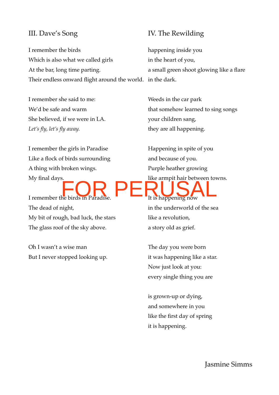#### III. Dave's Song

I remember the birds Which is also what we called girls At the bar, long time parting. Their endless onward flight around the world. in the dark.

I remember she said to me: We'd be safe and warm She believed, if we were in LA. *Let's fly, let's fly away.* 

I remember the girls in Paradise Like a flock of birds surrounding A thing with broken wings. My final days.

I remember the birds in Paradise. The dead of night, My bit of rough, bad luck, the stars The glass roof of the sky above.

Oh I wasn't a wise man But I never stopped looking up.

#### IV. The Rewilding

happening inside you in the heart of you, a small green shoot glowing like a flare

Weeds in the car park that somehow learned to sing songs your children sang, they are all happening.

Happening in spite of you and because of you. Purple heather growing like armpit hair between towns. It is happening now in the underworld of the sea like a revolution, a story old as grief. FOR PERUSAL

> The day you were born it was happening like a star. Now just look at you: every single thing you are

is grown-up or dying, and somewhere in you like the first day of spring it is happening.

Jasmine Simms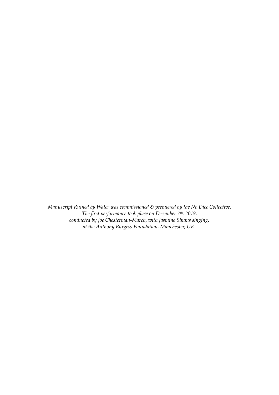*Manuscript Ruined by Water was commissioned & premiered by the No Dice Collective. The first performance took place on December 7th, 2019, conducted by Joe Chesterman-March, with Jasmine Simms singing, at the Anthony Burgess Foundation, Manchester, UK.*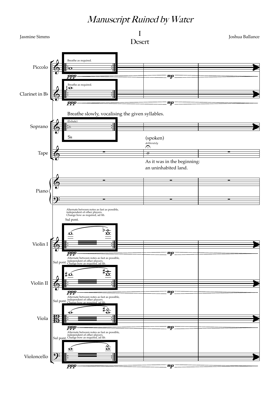### Manuscript Ruined by Water

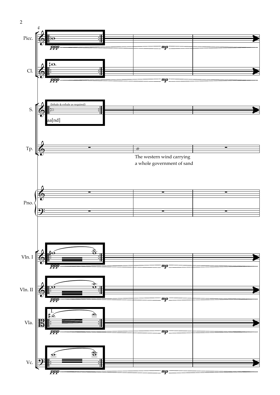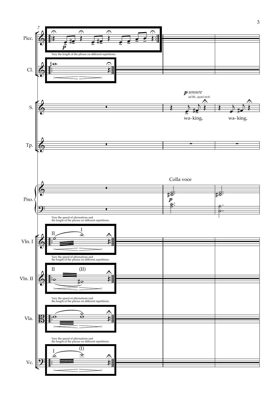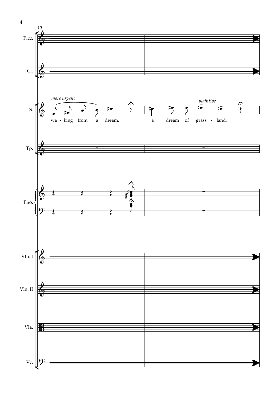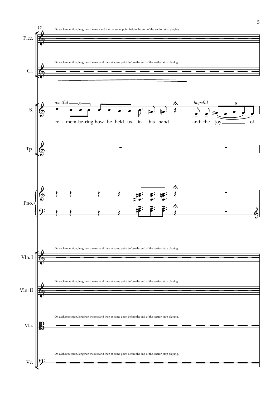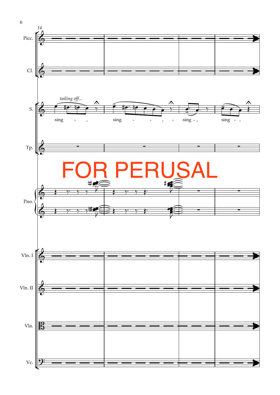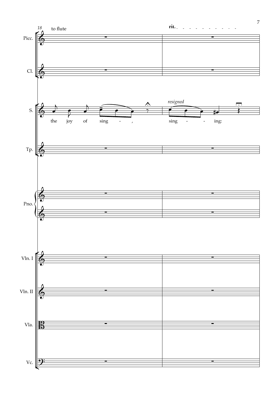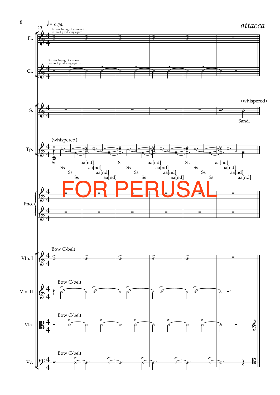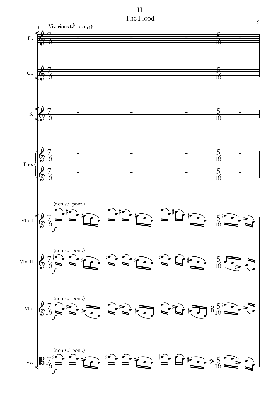$\prod$ The Flood

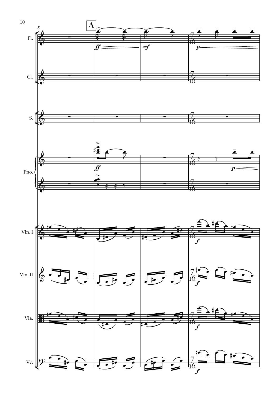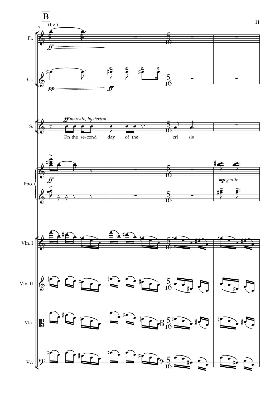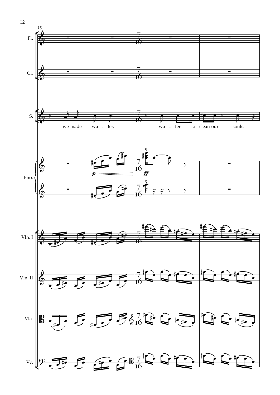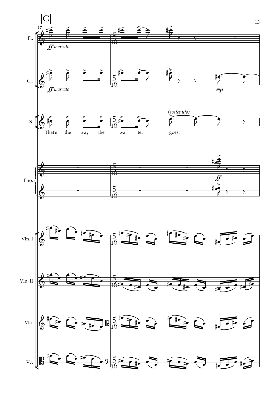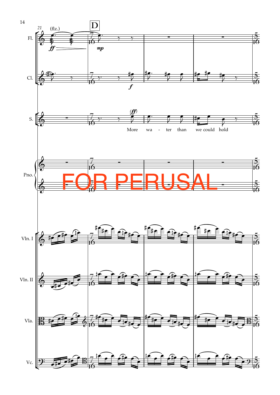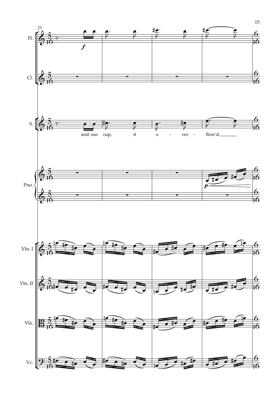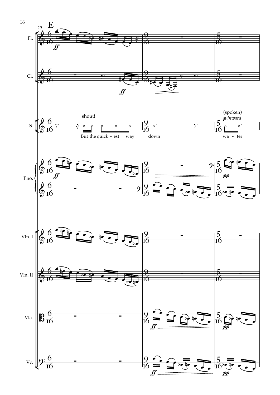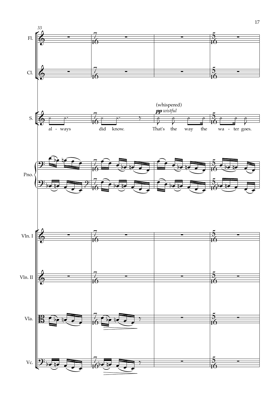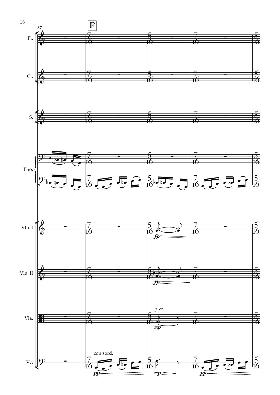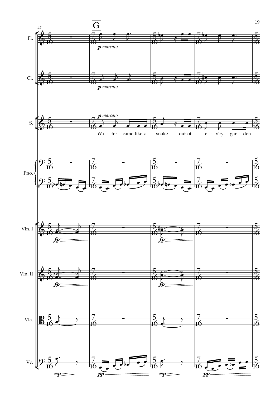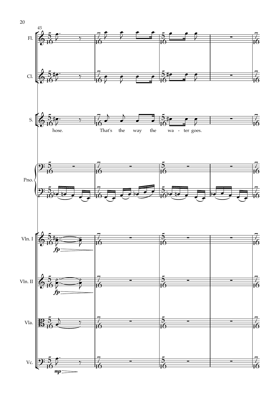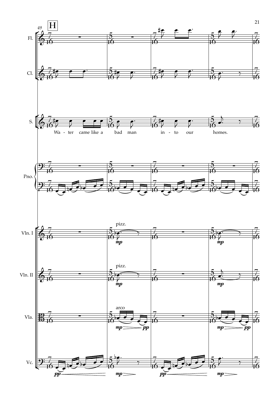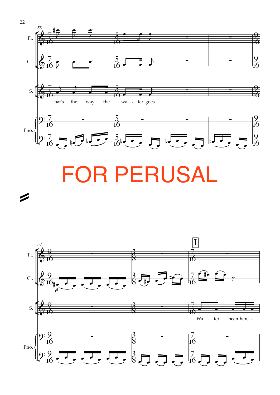

# **FOR PERUSAL**

Ø

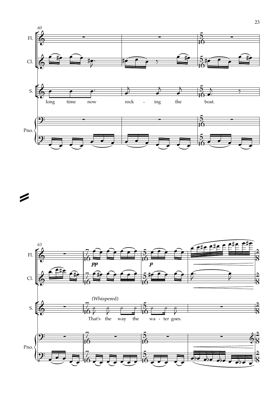



=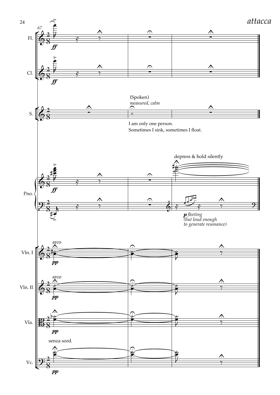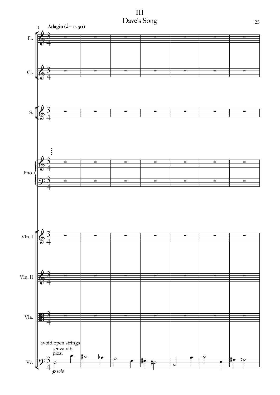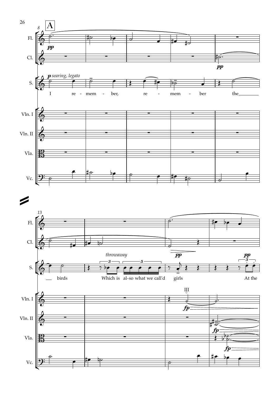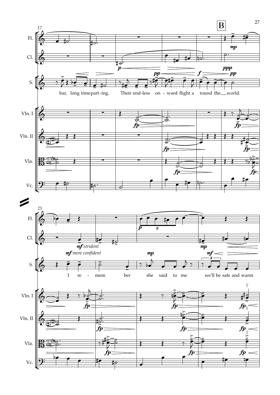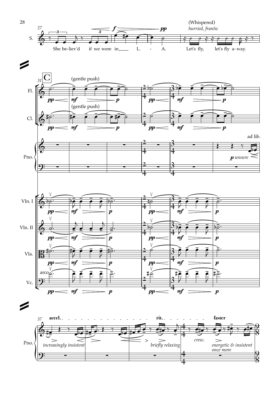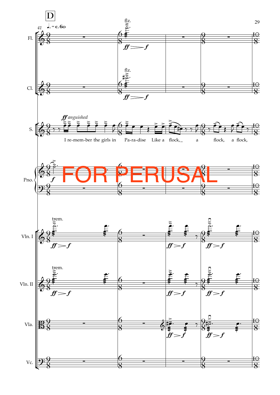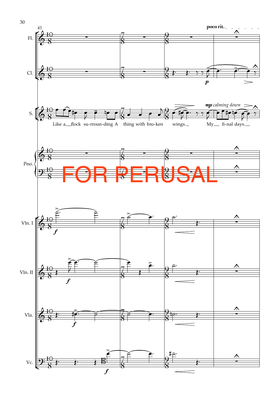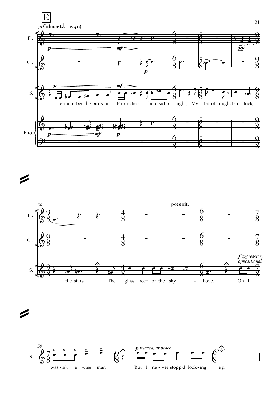

 **poco rit.** *54* $\overline{a}$ °  $\overline{9}$ 4 6  $\begin{array}{c} 6 \\ 8 \end{array}$   $\begin{array}{c} 8 \end{array}$  $\cdot$   $\cdot$   $\cdot$   $\cdot$ Fl.  $\frac{19}{8}$   $\frac{1}{8}$   $\frac{4}{8}$   $\frac{1}{8}$   $\frac{0}{8}$   $\frac{1}{8}$ **8** 8 8  $\overline{9}$ 4 6  $\frac{6}{8}$   $\frac{2}{8}$ Cl.  $\frac{4}{8}$   $\frac{4}{8}$   $\frac{50}{8}$ ¢ 8 8 8 <sup>f</sup> *aggressive, oppositional* & <sup>≈</sup> - - -  $\hat{\mathbf{v}}$ ° **∖**<br>□□ ← #  $\overline{9}$ 4 6  $\frac{6}{8}$   $\frac{\lambda}{\lambda}$   $\frac{6}{8}$   $\frac{6}{8}$ <sup>j</sup> <sup>œ</sup> <sup>œ</sup> <sup>œ</sup> <sup>œ</sup> #œ bœ <sup>œ</sup>™ <sup>Œ</sup> <sup>œ</sup> <sup>œ</sup> S.  $\leftrightarrow$ ¢ 8 8 8 I The glass roof of the sky a the stars bove.

=

=

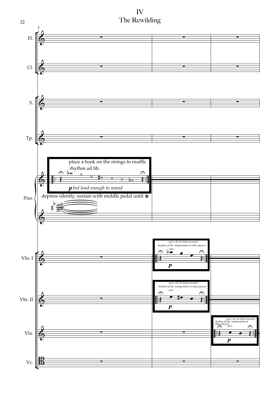IV The Rewilding

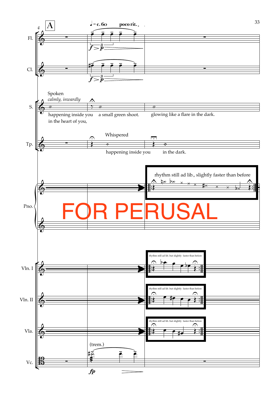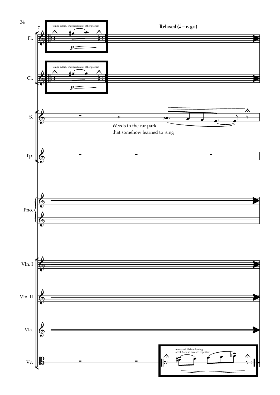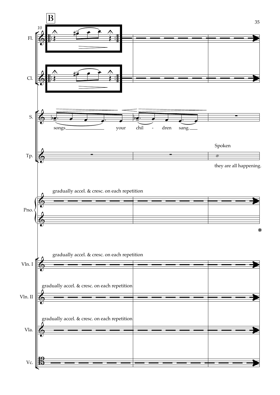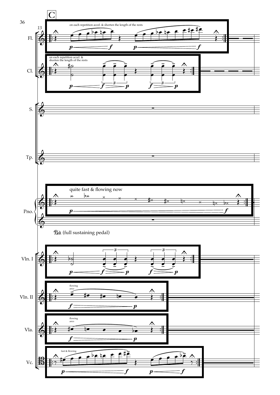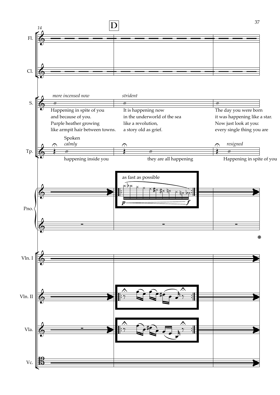